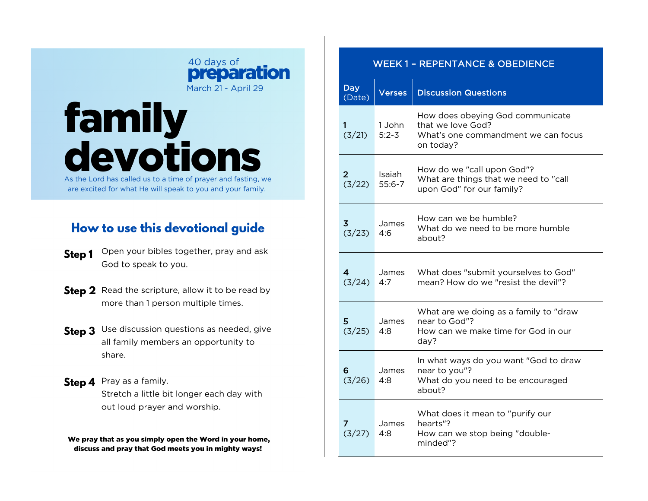## 40 days of preparation March 21 - April 29

## **family<br>devotions** As the Lord has called us to a time of prayer and fasting, we

are excited for what He will speak to you and your family.

## How to use this devotional guide

- Open your bibles together, pray and ask Step 1 God to speak to you.
- Step 2 Read the scripture, allow it to be read by more than 1 person multiple times.
- Step 3 Use discussion questions as needed, give all family members an opportunity to share.
- Step 4 Pray as a family. Stretch a little bit longer each day with out loud prayer and worship.

We pray that as you simply open the Word in your home, discuss and pray that God meets you in mighty ways!

| <b>WEEK 1 - REPENTANCE &amp; OBEDIENCE</b> |                      |                                                                                                           |
|--------------------------------------------|----------------------|-----------------------------------------------------------------------------------------------------------|
| <b>Day</b><br>(Date)                       | <b>Verses</b>        | <b>Discussion Questions</b>                                                                               |
| 1<br>(3/21)                                | 1 John<br>$5:2 - 3$  | How does obeying God communicate<br>that we love God?<br>What's one commandment we can focus<br>on today? |
| $\overline{2}$<br>(3/22)                   | Isaiah<br>$55:6 - 7$ | How do we "call upon God"?<br>What are things that we need to "call<br>upon God" for our family?          |
| 3<br>(3/23)                                | James<br>4:6         | How can we be humble?<br>What do we need to be more humble<br>about?                                      |
| $\overline{4}$<br>(3/24)                   | James<br>4:7         | What does "submit yourselves to God"<br>mean? How do we "resist the devil"?                               |
| 5<br>(3/25)                                | James<br>4:8         | What are we doing as a family to "draw<br>near to God"?<br>How can we make time for God in our<br>day?    |
| 6<br>(3/26)                                | James<br>4:8         | In what ways do you want "God to draw<br>near to you"?<br>What do you need to be encouraged<br>about?     |
| 7<br>(3/27)                                | James<br>4:8         | What does it mean to "purify our<br>hearts"?<br>How can we stop being "double-<br>minded"?                |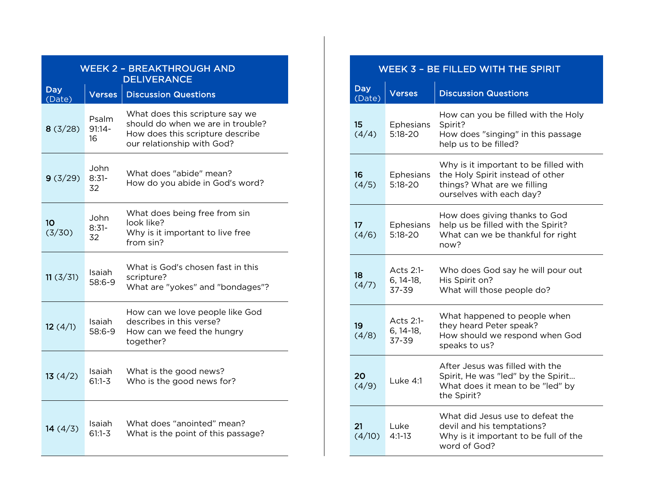| <b>WEEK 2 - BREAKTHROUGH AND</b><br><b>DELIVERANCE</b> |                          |                                                                                                                                        |  |
|--------------------------------------------------------|--------------------------|----------------------------------------------------------------------------------------------------------------------------------------|--|
| <b>Day</b><br>(Date)                                   | Verses                   | <b>Discussion Questions</b>                                                                                                            |  |
| 8(3/28)                                                | Psalm<br>$91:14 -$<br>16 | What does this scripture say we<br>should do when we are in trouble?<br>How does this scripture describe<br>our relationship with God? |  |
| 9(3/29)                                                | John<br>$8:31-$<br>32    | What does "abide" mean?<br>How do you abide in God's word?                                                                             |  |
| 10<br>(3/30)                                           | John<br>$8:31-$<br>32    | What does being free from sin<br>look like?<br>Why is it important to live free<br>from sin?                                           |  |
| 11(3/31)                                               | Isaiah<br>58:6-9         | What is God's chosen fast in this<br>scripture?<br>What are "yokes" and "bondages"?                                                    |  |
| 12(4/1)                                                | Isaiah<br>58:6-9         | How can we love people like God<br>describes in this verse?<br>How can we feed the hungry<br>together?                                 |  |
| 13(4/2)                                                | Isaiah<br>$61:1 - 3$     | What is the good news?<br>Who is the good news for?                                                                                    |  |
| 14(4/3)                                                | Isaiah<br>61:1-3         | What does "anointed" mean?<br>What is the point of this passage?                                                                       |  |

| WEEK 3 - BE FILLED WITH THE SPIRIT |                                   |                                                                                                                                      |  |
|------------------------------------|-----------------------------------|--------------------------------------------------------------------------------------------------------------------------------------|--|
| <b>Day</b><br>(Date)               | <b>Verses</b>                     | <b>Discussion Questions</b>                                                                                                          |  |
| 15<br>(4/4)                        | Ephesians<br>5:18-20              | How can you be filled with the Holy<br>Spirit?<br>How does "singing" in this passage<br>help us to be filled?                        |  |
| 16<br>(4/5)                        | <b>Ephesians</b><br>$5:18 - 20$   | Why is it important to be filled with<br>the Holy Spirit instead of other<br>things? What are we filling<br>ourselves with each day? |  |
| 17 <sup>2</sup><br>(4/6)           | <b>Ephesians</b><br>$5:18 - 20$   | How does giving thanks to God<br>help us be filled with the Spirit?<br>What can we be thankful for right<br>now?                     |  |
| 18<br>(4/7)                        | Acts 2:1-<br>$6, 14-18,$<br>37-39 | Who does God say he will pour out<br>His Spirit on?<br>What will those people do?                                                    |  |
| 19<br>(4/8)                        | Acts 2:1-<br>6, 14-18,<br>37-39   | What happened to people when<br>they heard Peter speak?<br>How should we respond when God<br>speaks to us?                           |  |
| 20<br>(4/9)                        | Luke 4:1                          | After Jesus was filled with the<br>Spirit, He was "led" by the Spirit<br>What does it mean to be "led" by<br>the Spirit?             |  |
| 21<br>(4/10)                       | Luke<br>$4:1 - 13$                | What did Jesus use to defeat the<br>devil and his temptations?<br>Why is it important to be full of the<br>word of God?              |  |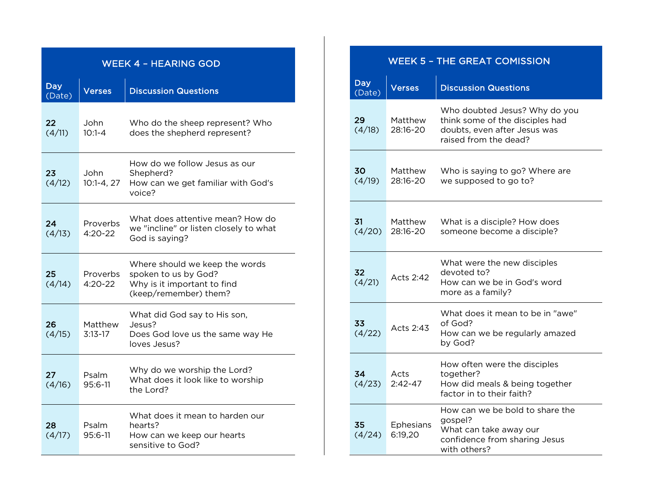| <b>WEEK 4 - HEARING GOD</b> |                         |                                                                                                                |  |
|-----------------------------|-------------------------|----------------------------------------------------------------------------------------------------------------|--|
| <b>Day</b><br>(Date)        | <b>Verses</b>           | <b>Discussion Questions</b>                                                                                    |  |
| 22<br>(4/11)                | John<br>$10:1 - 4$      | Who do the sheep represent? Who<br>does the shepherd represent?                                                |  |
| 23<br>(4/12)                | John<br>$10:1 - 4, 27$  | How do we follow Jesus as our<br>Shepherd?<br>How can we get familiar with God's<br>voice?                     |  |
| 24<br>(4/13)                | Proverbs<br>$4:20 - 22$ | What does attentive mean? How do<br>we "incline" or listen closely to what<br>God is saying?                   |  |
| 25<br>(4/14)                | Proverbs<br>$4:20 - 22$ | Where should we keep the words<br>spoken to us by God?<br>Why is it important to find<br>(keep/remember) them? |  |
| 26<br>(4/15)                | Matthew<br>$3:13-17$    | What did God say to His son,<br>Jesus?<br>Does God love us the same way He<br>loves Jesus?                     |  |
| 27<br>(4/16)                | Psalm<br>95:6-11        | Why do we worship the Lord?<br>What does it look like to worship<br>the Lord?                                  |  |
| 28.<br>(4/17)               | Psalm<br>$95:6 - 11$    | What does it mean to harden our<br>hearts?<br>How can we keep our hearts<br>sensitive to God?                  |  |

| <b>WEEK 5 - THE GREAT COMISSION</b> |                      |                                                                                                                           |
|-------------------------------------|----------------------|---------------------------------------------------------------------------------------------------------------------------|
| <b>Day</b><br>(Date)                | Verses               | <b>Discussion Questions</b>                                                                                               |
| 29<br>(4/18)                        | Matthew<br>28:16-20  | Who doubted Jesus? Why do you<br>think some of the disciples had<br>doubts, even after Jesus was<br>raised from the dead? |
| 30<br>(4/19)                        | Matthew<br>28:16-20  | Who is saying to go? Where are<br>we supposed to go to?                                                                   |
| 31<br>(4/20)                        | Matthew<br>28:16-20  | What is a disciple? How does<br>someone become a disciple?                                                                |
| 32<br>(4/21)                        | Acts 2:42            | What were the new disciples<br>devoted to?<br>How can we be in God's word<br>more as a family?                            |
| 33<br>(4/22)                        | Acts 2:43            | What does it mean to be in "awe"<br>of God?<br>How can we be regularly amazed<br>by God?                                  |
| 34<br>(4/23)                        | Acts<br>$2:42 - 47$  | How often were the disciples<br>together?<br>How did meals & being together<br>factor in to their faith?                  |
| 35<br>(4/24)                        | Ephesians<br>6:19,20 | How can we be bold to share the<br>gospel?<br>What can take away our<br>confidence from sharing Jesus<br>with others?     |